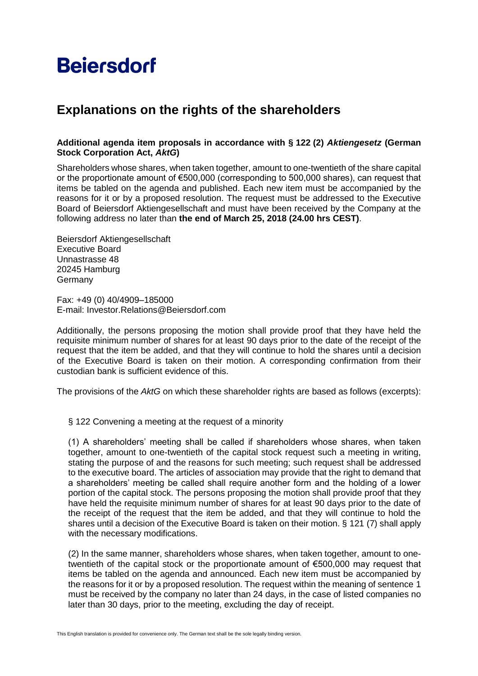# **Beiersdorf**

## **Explanations on the rights of the shareholders**

### **Additional agenda item proposals in accordance with § 122 (2)** *Aktiengesetz* **(German Stock Corporation Act,** *AktG***)**

Shareholders whose shares, when taken together, amount to one-twentieth of the share capital or the proportionate amount of  $\epsilon$ 500,000 (corresponding to 500,000 shares), can request that items be tabled on the agenda and published. Each new item must be accompanied by the reasons for it or by a proposed resolution. The request must be addressed to the Executive Board of Beiersdorf Aktiengesellschaft and must have been received by the Company at the following address no later than **the end of March 25, 2018 (24.00 hrs CEST)**.

Beiersdorf Aktiengesellschaft Executive Board Unnastrasse 48 20245 Hamburg Germany

Fax: +49 (0) 40/4909–185000 E-mail: Investor.Relations@Beiersdorf.com

Additionally, the persons proposing the motion shall provide proof that they have held the requisite minimum number of shares for at least 90 days prior to the date of the receipt of the request that the item be added, and that they will continue to hold the shares until a decision of the Executive Board is taken on their motion. A corresponding confirmation from their custodian bank is sufficient evidence of this.

The provisions of the *AktG* on which these shareholder rights are based as follows (excerpts):

§ 122 Convening a meeting at the request of a minority

(1) A shareholders' meeting shall be called if shareholders whose shares, when taken together, amount to one-twentieth of the capital stock request such a meeting in writing, stating the purpose of and the reasons for such meeting; such request shall be addressed to the executive board. The articles of association may provide that the right to demand that a shareholders' meeting be called shall require another form and the holding of a lower portion of the capital stock. The persons proposing the motion shall provide proof that they have held the requisite minimum number of shares for at least 90 days prior to the date of the receipt of the request that the item be added, and that they will continue to hold the shares until a decision of the Executive Board is taken on their motion. § 121 (7) shall apply with the necessary modifications.

(2) In the same manner, shareholders whose shares, when taken together, amount to onetwentieth of the capital stock or the proportionate amount of €500,000 may request that items be tabled on the agenda and announced. Each new item must be accompanied by the reasons for it or by a proposed resolution. The request within the meaning of sentence 1 must be received by the company no later than 24 days, in the case of listed companies no later than 30 days, prior to the meeting, excluding the day of receipt.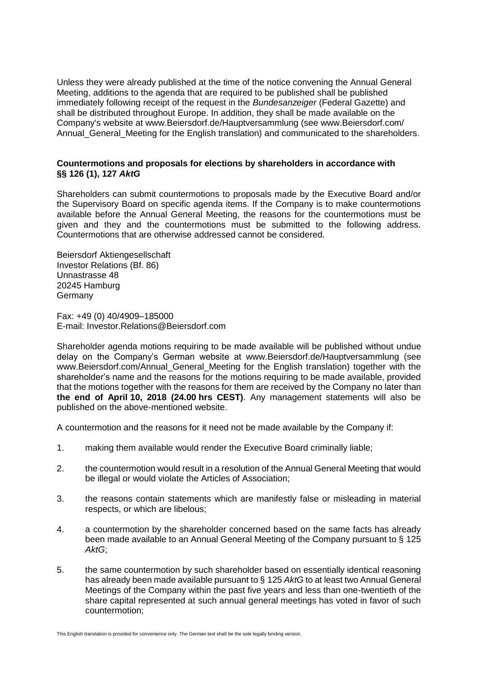Unless they were already published at the time of the notice convening the Annual General Meeting, additions to the agenda that are required to be published shall be published immediately following receipt of the request in the *Bundesanzeiger* (Federal Gazette) and shall be distributed throughout Europe. In addition, they shall be made available on the Company's website at www.Beiersdorf.de/Hauptversammlung (see www.Beiersdorf.com/ Annual General Meeting for the English translation) and communicated to the shareholders.

#### **Countermotions and proposals for elections by shareholders in accordance with §§ 126 (1), 127** *AktG*

Shareholders can submit countermotions to proposals made by the Executive Board and/or the Supervisory Board on specific agenda items. If the Company is to make countermotions available before the Annual General Meeting, the reasons for the countermotions must be given and they and the countermotions must be submitted to the following address. Countermotions that are otherwise addressed cannot be considered.

Beiersdorf Aktiengesellschaft Investor Relations (Bf. 86) Unnastrasse 48 20245 Hamburg Germany

Fax: +49 (0) 40/4909–185000 E-mail: Investor.Relations@Beiersdorf.com

Shareholder agenda motions requiring to be made available will be published without undue delay on the Company's German website at www.Beiersdorf.de/Hauptversammlung (see www.Beiersdorf.com/Annual General Meeting for the English translation) together with the shareholder's name and the reasons for the motions requiring to be made available, provided that the motions together with the reasons for them are received by the Company no later than **the end of April 10, 2018 (24.00 hrs CEST)**. Any management statements will also be published on the above-mentioned website.

A countermotion and the reasons for it need not be made available by the Company if:

- 1. making them available would render the Executive Board criminally liable;
- 2. the countermotion would result in a resolution of the Annual General Meeting that would be illegal or would violate the Articles of Association;
- 3. the reasons contain statements which are manifestly false or misleading in material respects, or which are libelous;
- 4. a countermotion by the shareholder concerned based on the same facts has already been made available to an Annual General Meeting of the Company pursuant to § 125 *AktG*;
- 5. the same countermotion by such shareholder based on essentially identical reasoning has already been made available pursuant to § 125 *AktG* to at least two Annual General Meetings of the Company within the past five years and less than one-twentieth of the share capital represented at such annual general meetings has voted in favor of such countermotion;

This English translation is provided for convenience only. The German text shall be the sole legally binding version.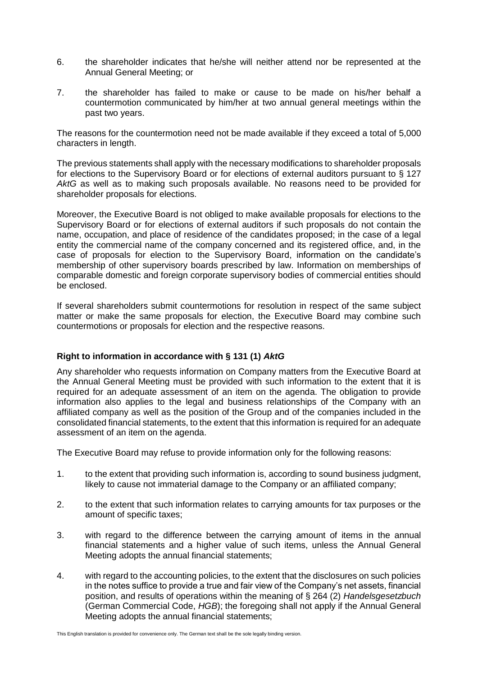- 6. the shareholder indicates that he/she will neither attend nor be represented at the Annual General Meeting; or
- 7. the shareholder has failed to make or cause to be made on his/her behalf a countermotion communicated by him/her at two annual general meetings within the past two years.

The reasons for the countermotion need not be made available if they exceed a total of 5,000 characters in length.

The previous statements shall apply with the necessary modifications to shareholder proposals for elections to the Supervisory Board or for elections of external auditors pursuant to § 127 *AktG* as well as to making such proposals available. No reasons need to be provided for shareholder proposals for elections.

Moreover, the Executive Board is not obliged to make available proposals for elections to the Supervisory Board or for elections of external auditors if such proposals do not contain the name, occupation, and place of residence of the candidates proposed; in the case of a legal entity the commercial name of the company concerned and its registered office, and, in the case of proposals for election to the Supervisory Board, information on the candidate's membership of other supervisory boards prescribed by law. Information on memberships of comparable domestic and foreign corporate supervisory bodies of commercial entities should be enclosed.

If several shareholders submit countermotions for resolution in respect of the same subject matter or make the same proposals for election, the Executive Board may combine such countermotions or proposals for election and the respective reasons.

### **Right to information in accordance with § 131 (1)** *AktG*

Any shareholder who requests information on Company matters from the Executive Board at the Annual General Meeting must be provided with such information to the extent that it is required for an adequate assessment of an item on the agenda. The obligation to provide information also applies to the legal and business relationships of the Company with an affiliated company as well as the position of the Group and of the companies included in the consolidated financial statements, to the extent that this information is required for an adequate assessment of an item on the agenda.

The Executive Board may refuse to provide information only for the following reasons:

- 1. to the extent that providing such information is, according to sound business judgment, likely to cause not immaterial damage to the Company or an affiliated company;
- 2. to the extent that such information relates to carrying amounts for tax purposes or the amount of specific taxes;
- 3. with regard to the difference between the carrying amount of items in the annual financial statements and a higher value of such items, unless the Annual General Meeting adopts the annual financial statements;
- 4. with regard to the accounting policies, to the extent that the disclosures on such policies in the notes suffice to provide a true and fair view of the Company's net assets, financial position, and results of operations within the meaning of § 264 (2) *Handelsgesetzbuch* (German Commercial Code, *HGB*); the foregoing shall not apply if the Annual General Meeting adopts the annual financial statements;

This English translation is provided for convenience only. The German text shall be the sole legally binding version.